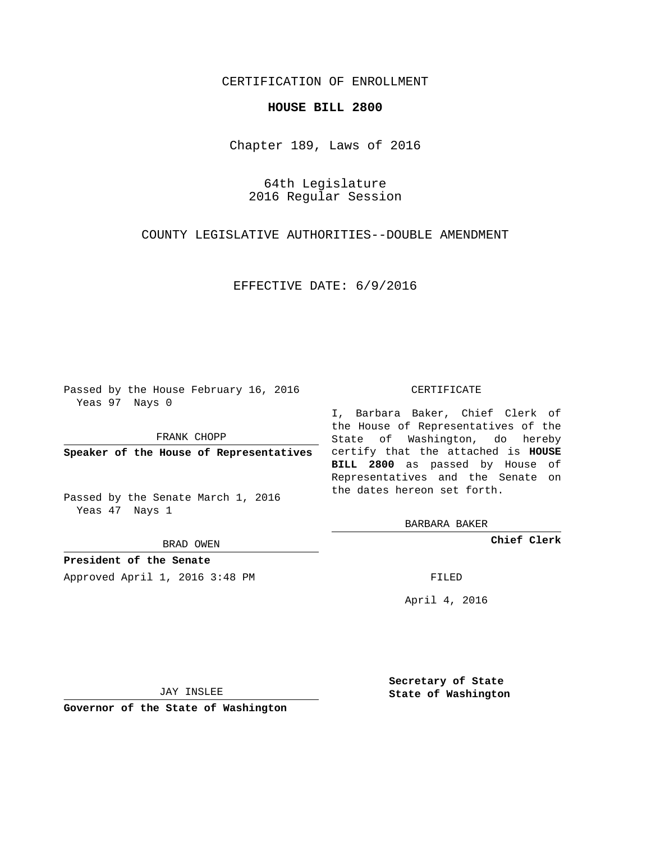## CERTIFICATION OF ENROLLMENT

## **HOUSE BILL 2800**

Chapter 189, Laws of 2016

64th Legislature 2016 Regular Session

COUNTY LEGISLATIVE AUTHORITIES--DOUBLE AMENDMENT

EFFECTIVE DATE: 6/9/2016

Passed by the House February 16, 2016 Yeas 97 Nays 0

FRANK CHOPP

Passed by the Senate March 1, 2016 Yeas 47 Nays 1

BRAD OWEN

**President of the Senate**

Approved April 1, 2016 3:48 PM FILED

## CERTIFICATE

**Speaker of the House of Representatives** certify that the attached is **HOUSE** I, Barbara Baker, Chief Clerk of the House of Representatives of the State of Washington, do hereby **BILL 2800** as passed by House of Representatives and the Senate on the dates hereon set forth.

BARBARA BAKER

**Chief Clerk**

April 4, 2016

JAY INSLEE

**Governor of the State of Washington**

**Secretary of State State of Washington**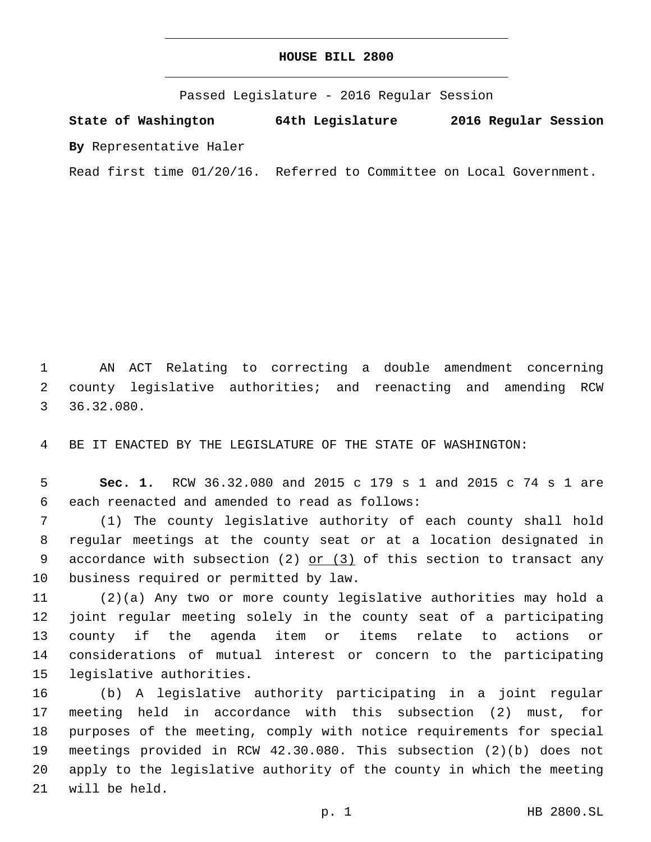## **HOUSE BILL 2800**

Passed Legislature - 2016 Regular Session

**State of Washington 64th Legislature 2016 Regular Session By** Representative Haler

Read first time 01/20/16. Referred to Committee on Local Government.

1 AN ACT Relating to correcting a double amendment concerning 2 county legislative authorities; and reenacting and amending RCW 36.32.080.3

4 BE IT ENACTED BY THE LEGISLATURE OF THE STATE OF WASHINGTON:

5 **Sec. 1.** RCW 36.32.080 and 2015 c 179 s 1 and 2015 c 74 s 1 are each reenacted and amended to read as follows:6

7 (1) The county legislative authority of each county shall hold 8 regular meetings at the county seat or at a location designated in 9 accordance with subsection (2)  $or$  (3) of this section to transact any 10 business required or permitted by law.

 (2)(a) Any two or more county legislative authorities may hold a joint regular meeting solely in the county seat of a participating county if the agenda item or items relate to actions or considerations of mutual interest or concern to the participating 15 legislative authorities.

 (b) A legislative authority participating in a joint regular meeting held in accordance with this subsection (2) must, for purposes of the meeting, comply with notice requirements for special meetings provided in RCW 42.30.080. This subsection (2)(b) does not apply to the legislative authority of the county in which the meeting 21 will be held.